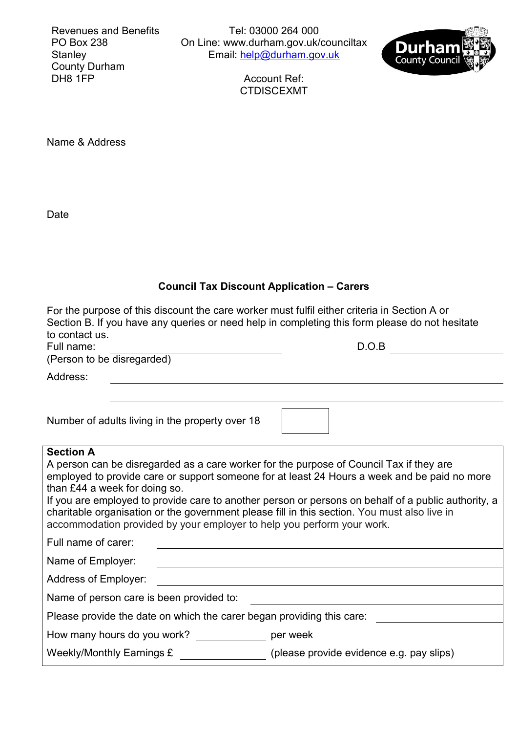Revenues and Benefits PO Box 238 Stanley County Durham DH<sub>8</sub> 1FP

Tel: 03000 264 000 On Line: [www.durham.gov.uk/counciltax](http://www.durham.gov.uk/counciltax) Email: <u>help@durham.gov.uk</u>



Account Ref: CTDISCEXMT

Name & Address

Date

| <b>Council Tax Discount Application - Carers</b>                                                                                                                                                                                        |                                                                                                                                                                                                                                                                                                                                                                                                |  |  |  |  |  |  |
|-----------------------------------------------------------------------------------------------------------------------------------------------------------------------------------------------------------------------------------------|------------------------------------------------------------------------------------------------------------------------------------------------------------------------------------------------------------------------------------------------------------------------------------------------------------------------------------------------------------------------------------------------|--|--|--|--|--|--|
| For the purpose of this discount the care worker must fulfil either criteria in Section A or<br>Section B. If you have any queries or need help in completing this form please do not hesitate<br>to contact us.<br>D.O.B<br>Full name: |                                                                                                                                                                                                                                                                                                                                                                                                |  |  |  |  |  |  |
| (Person to be disregarded)                                                                                                                                                                                                              |                                                                                                                                                                                                                                                                                                                                                                                                |  |  |  |  |  |  |
| Address:                                                                                                                                                                                                                                |                                                                                                                                                                                                                                                                                                                                                                                                |  |  |  |  |  |  |
|                                                                                                                                                                                                                                         |                                                                                                                                                                                                                                                                                                                                                                                                |  |  |  |  |  |  |
| Number of adults living in the property over 18                                                                                                                                                                                         |                                                                                                                                                                                                                                                                                                                                                                                                |  |  |  |  |  |  |
| <b>Section A</b><br>than £44 a week for doing so.<br>accommodation provided by your employer to help you perform your work.<br>Full name of carer:                                                                                      | A person can be disregarded as a care worker for the purpose of Council Tax if they are<br>employed to provide care or support someone for at least 24 Hours a week and be paid no more<br>If you are employed to provide care to another person or persons on behalf of a public authority, a<br>charitable organisation or the government please fill in this section. You must also live in |  |  |  |  |  |  |
| Name of Employer:                                                                                                                                                                                                                       |                                                                                                                                                                                                                                                                                                                                                                                                |  |  |  |  |  |  |
| <b>Address of Employer:</b>                                                                                                                                                                                                             |                                                                                                                                                                                                                                                                                                                                                                                                |  |  |  |  |  |  |
| Name of person care is been provided to:                                                                                                                                                                                                |                                                                                                                                                                                                                                                                                                                                                                                                |  |  |  |  |  |  |
| Please provide the date on which the carer began providing this care:                                                                                                                                                                   |                                                                                                                                                                                                                                                                                                                                                                                                |  |  |  |  |  |  |
| How many hours do you work?                                                                                                                                                                                                             | per week                                                                                                                                                                                                                                                                                                                                                                                       |  |  |  |  |  |  |
| Weekly/Monthly Earnings £                                                                                                                                                                                                               | (please provide evidence e.g. pay slips)                                                                                                                                                                                                                                                                                                                                                       |  |  |  |  |  |  |